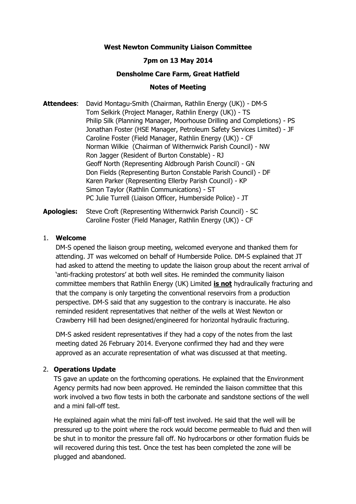# **West Newton Community Liaison Committee**

# **7pm on 13 May 2014**

### **Densholme Care Farm, Great Hatfield**

#### **Notes of Meeting**

**Attendees**: David Montagu-Smith (Chairman, Rathlin Energy (UK)) - DM-S Tom Selkirk (Project Manager, Rathlin Energy (UK)) - TS Philip Silk (Planning Manager, Moorhouse Drilling and Completions) - PS Jonathan Foster (HSE Manager, Petroleum Safety Services Limited) - JF Caroline Foster (Field Manager, Rathlin Energy (UK)) - CF Norman Wilkie (Chairman of Withernwick Parish Council) - NW Ron Jagger (Resident of Burton Constable) - RJ Geoff North (Representing Aldbrough Parish Council) - GN Don Fields (Representing Burton Constable Parish Council) - DF Karen Parker (Representing Ellerby Parish Council) - KP Simon Taylor (Rathlin Communications) - ST PC Julie Turrell (Liaison Officer, Humberside Police) - JT

**Apologies:** Steve Croft (Representing Withernwick Parish Council) - SC Caroline Foster (Field Manager, Rathlin Energy (UK)) - CF

#### 1. **Welcome**

DM-S opened the liaison group meeting, welcomed everyone and thanked them for attending. JT was welcomed on behalf of Humberside Police. DM-S explained that JT had asked to attend the meeting to update the liaison group about the recent arrival of 'anti-fracking protestors' at both well sites. He reminded the community liaison committee members that Rathlin Energy (UK) Limited **is not** hydraulically fracturing and that the company is only targeting the conventional reservoirs from a production perspective. DM-S said that any suggestion to the contrary is inaccurate. He also reminded resident representatives that neither of the wells at West Newton or Crawberry Hill had been designed/engineered for horizontal hydraulic fracturing.

DM-S asked resident representatives if they had a copy of the notes from the last meeting dated 26 February 2014. Everyone confirmed they had and they were approved as an accurate representation of what was discussed at that meeting.

### 2. **Operations Update**

TS gave an update on the forthcoming operations. He explained that the Environment Agency permits had now been approved. He reminded the liaison committee that this work involved a two flow tests in both the carbonate and sandstone sections of the well and a mini fall-off test.

He explained again what the mini fall-off test involved. He said that the well will be pressured up to the point where the rock would become permeable to fluid and then will be shut in to monitor the pressure fall off. No hydrocarbons or other formation fluids be will recovered during this test. Once the test has been completed the zone will be plugged and abandoned.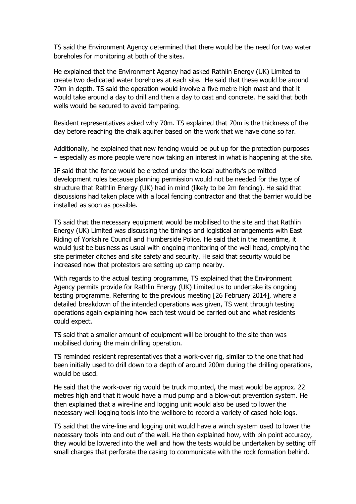TS said the Environment Agency determined that there would be the need for two water boreholes for monitoring at both of the sites.

He explained that the Environment Agency had asked Rathlin Energy (UK) Limited to create two dedicated water boreholes at each site. He said that these would be around 70m in depth. TS said the operation would involve a five metre high mast and that it would take around a day to drill and then a day to cast and concrete. He said that both wells would be secured to avoid tampering.

Resident representatives asked why 70m. TS explained that 70m is the thickness of the clay before reaching the chalk aquifer based on the work that we have done so far.

Additionally, he explained that new fencing would be put up for the protection purposes – especially as more people were now taking an interest in what is happening at the site.

JF said that the fence would be erected under the local authority's permitted development rules because planning permission would not be needed for the type of structure that Rathlin Energy (UK) had in mind (likely to be 2m fencing). He said that discussions had taken place with a local fencing contractor and that the barrier would be installed as soon as possible.

TS said that the necessary equipment would be mobilised to the site and that Rathlin Energy (UK) Limited was discussing the timings and logistical arrangements with East Riding of Yorkshire Council and Humberside Police. He said that in the meantime, it would just be business as usual with ongoing monitoring of the well head, emptying the site perimeter ditches and site safety and security. He said that security would be increased now that protestors are setting up camp nearby.

With regards to the actual testing programme, TS explained that the Environment Agency permits provide for Rathlin Energy (UK) Limited us to undertake its ongoing testing programme. Referring to the previous meeting [26 February 2014], where a detailed breakdown of the intended operations was given, TS went through testing operations again explaining how each test would be carried out and what residents could expect.

TS said that a smaller amount of equipment will be brought to the site than was mobilised during the main drilling operation.

TS reminded resident representatives that a work-over rig, similar to the one that had been initially used to drill down to a depth of around 200m during the drilling operations, would be used.

He said that the work-over rig would be truck mounted, the mast would be approx. 22 metres high and that it would have a mud pump and a blow-out prevention system. He then explained that a wire-line and logging unit would also be used to lower the necessary well logging tools into the wellbore to record a variety of cased hole logs.

TS said that the wire-line and logging unit would have a winch system used to lower the necessary tools into and out of the well. He then explained how, with pin point accuracy, they would be lowered into the well and how the tests would be undertaken by setting off small charges that perforate the casing to communicate with the rock formation behind.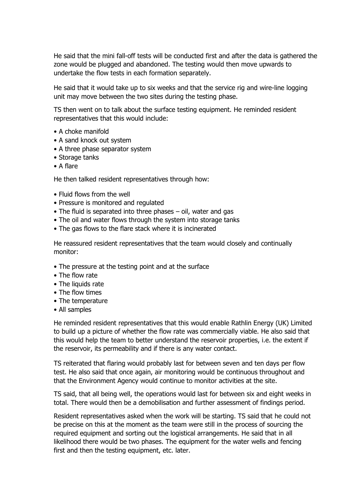He said that the mini fall-off tests will be conducted first and after the data is gathered the zone would be plugged and abandoned. The testing would then move upwards to undertake the flow tests in each formation separately.

He said that it would take up to six weeks and that the service rig and wire-line logging unit may move between the two sites during the testing phase.

TS then went on to talk about the surface testing equipment. He reminded resident representatives that this would include:

- A choke manifold
- A sand knock out system
- A three phase separator system
- Storage tanks
- A flare

He then talked resident representatives through how:

- Fluid flows from the well
- Pressure is monitored and regulated
- The fluid is separated into three phases oil, water and gas
- The oil and water flows through the system into storage tanks
- The gas flows to the flare stack where it is incinerated

He reassured resident representatives that the team would closely and continually monitor:

- The pressure at the testing point and at the surface
- The flow rate
- The liquids rate
- The flow times
- The temperature
- All samples

He reminded resident representatives that this would enable Rathlin Energy (UK) Limited to build up a picture of whether the flow rate was commercially viable. He also said that this would help the team to better understand the reservoir properties, i.e. the extent if the reservoir, its permeability and if there is any water contact.

TS reiterated that flaring would probably last for between seven and ten days per flow test. He also said that once again, air monitoring would be continuous throughout and that the Environment Agency would continue to monitor activities at the site.

TS said, that all being well, the operations would last for between six and eight weeks in total. There would then be a demobilisation and further assessment of findings period.

Resident representatives asked when the work will be starting. TS said that he could not be precise on this at the moment as the team were still in the process of sourcing the required equipment and sorting out the logistical arrangements. He said that in all likelihood there would be two phases. The equipment for the water wells and fencing first and then the testing equipment, etc. later.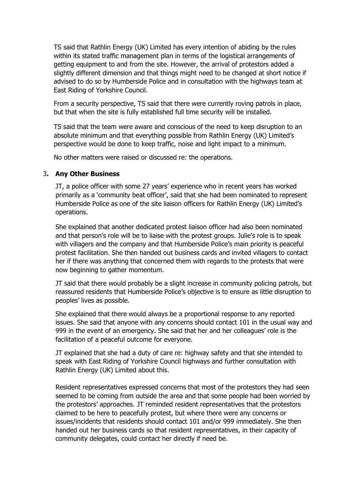TS said that Rathlin Energy (UK) Limited has every intention of abiding by the rules within its stated traffic management plan in terms of the logistical arrangements of getting equipment to and from the site. However, the arrival of protestors added a slightly different dimension and that things might need to be changed at short notice if advised to do so by Humberside Police and in consultation with the highways team at East Riding of Yorkshire Council.

From a security perspective, TS said that there were currently roving patrols in place, but that when the site is fully established full time security will be installed.

TS said that the team were aware and conscious of the need to keep disruption to an absolute minimum and that everything possible from Rathlin Energy (UK) Limited's perspective would be done to keep traffic, noise and light impact to a minimum.

No other matters were raised or discussed re: the operations.

# 3**. Any Other Business**

JT, a police officer with some 27 years' experience who in recent years has worked primarily as a 'community beat officer', said that she had been nominated to represent Humberside Police as one of the site liaison officers for Rathlin Energy (UK) Limited's operations.

She explained that another dedicated protest liaison officer had also been nominated and that person's role will be to liaise with the protest groups. Julie's role is to speak with villagers and the company and that Humberside Police's main priority is peaceful protest facilitation. She then handed out business cards and invited villagers to contact her if there was anything that concerned them with regards to the protests that were now beginning to gather momentum.

JT said that there would probably be a slight increase in community policing patrols, but reassured residents that Humberside Police's objective is to ensure as little disruption to peoples' lives as possible.

She explained that there would always be a proportional response to any reported issues. She said that anyone with any concerns should contact 101 in the usual way and 999 in the event of an emergency. She said that her and her colleagues' role is the facilitation of a peaceful outcome for everyone.

JT explained that she had a duty of care re: highway safety and that she intended to speak with East Riding of Yorkshire Council highways and further consultation with Rathlin Energy (UK) Limited about this.

Resident representatives expressed concerns that most of the protestors they had seen seemed to be coming from outside the area and that some people had been worried by the protestors' approaches. JT reminded resident representatives that the protestors claimed to be here to peacefully protest, but where there were any concerns or issues/incidents that residents should contact 101 and/or 999 immediately. She then handed out her business cards so that resident representatives, in their capacity of community delegates, could contact her directly if need be.